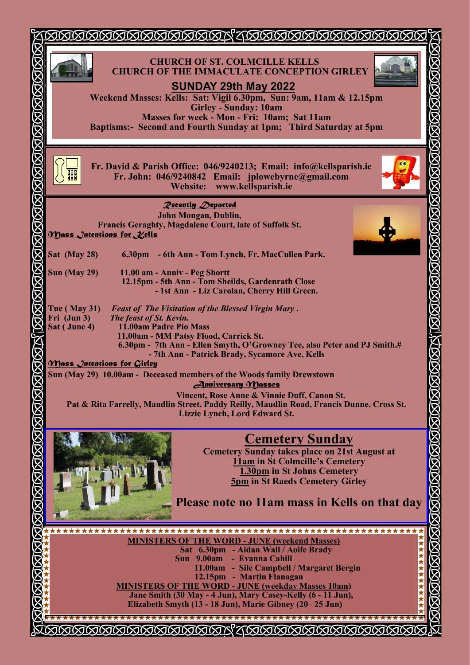| XIXIMMMMMM                                                                                                                                                                                                                                                                                                                                                                                                                                                                  |      |
|-----------------------------------------------------------------------------------------------------------------------------------------------------------------------------------------------------------------------------------------------------------------------------------------------------------------------------------------------------------------------------------------------------------------------------------------------------------------------------|------|
| <b>GRAGE HALL HALL SERVERE SERVERE SERVERE SERVERE SERVERE SERVERE SERVERE SERVERE SERVERE SERVERE SERVERE SERVER</b><br><b>CHURCH OF ST. COLMCILLE KELLS</b><br><b>CHURCH OF THE IMMACULATE CONCEPTION GIRLEY</b><br><b>SUNDAY 29th May 2022</b><br>Weekend Masses: Kells: Sat: Vigil 6.30pm, Sun: 9am, 11am & 12.15pm<br><b>Girley - Sunday: 10am</b><br>Masses for week - Mon - Fri: 10am; Sat 11am<br>Baptisms:- Second and Fourth Sunday at 1pm; Third Saturday at 5pm |      |
| Fr. David & Parish Office: 046/9240213; Email: info@kellsparish.ie<br>Fr. John: 046/9240842 Email: jplowebyrne@gmail.com<br><b>Website:</b><br>www.kellsparish.ie                                                                                                                                                                                                                                                                                                           |      |
| <b>Pecently Departed</b><br>John Mongan, Dublin,<br>Francis Geraghty, Magdalene Court, late of Suffolk St.<br><u> Mass Jntentions for Vells</u>                                                                                                                                                                                                                                                                                                                             |      |
| Sat (May 28)<br>6.30pm - 6th Ann - Tom Lynch, Fr. MacCullen Park.<br><b>Sun (May 29)</b><br>11.00 am - Anniv - Peg Shortt<br>12.15pm - 5th Ann - Tom Sheilds, Gardenrath Close<br>- 1st Ann - Liz Carolan, Cherry Hill Green.                                                                                                                                                                                                                                               |      |
| NMMM<br>$\Gamma$ ue (May 31)<br><b>Feast of The Visitation of the Blessed Virgin Mary.</b><br>Fri (Jun 3)<br>The feast of St. Kevin.<br>11.00am Padre Pio Mass<br>Sat (June 4)<br>11.00am - MM Patsy Flood, Carrick St.<br>6.30pm - 7th Ann - Ellen Smyth, O'Growney Tce, also Peter and PJ Smith.#<br>রেরে<br>- 7th Ann - Patrick Brady, Sycamore Ave, Kells                                                                                                               |      |
| <u> Mass Jntentions for Girley</u><br>Sun (May 29) 10.00am - Deceased members of the Woods family Drewstown<br><b>Anniversary Masses</b><br>Vincent, Rose Anne & Vinnie Duff, Canon St.<br>Pat & Rita Farrelly, Maudlin Street. Paddy Reilly, Maudlin Road, Francis Dunne, Cross St.<br>Lizzie Lynch, Lord Edward St.                                                                                                                                                       |      |
| <b>JAMAR HAMAR ANG ANG ANG ANG ANG</b><br><b>Cemetery Sunday</b><br><b>Cemetery Sunday takes place on 21st August at</b><br><b>11am in St Colmcille's Cemetery</b><br>1.30pm in St Johns Cemetery<br><b>5pm in St Raeds Cemetery Girley</b><br>Please note no 11am mass in Kells on that day                                                                                                                                                                                | KKKK |
| <b>MINISTERS OF THE WORD - JUNE (weekend Masses)</b><br>Sat 6.30pm - Aidan Wall / Aoife Brady<br>Sun 9.00am - Evanna Cahill<br>11.00am - Sile Campbell / Margaret Bergin<br>12.15pm - Martin Flanagan<br><b>MINISTERS OF THE WORD - JUNE (weekday Masses 10am)</b><br>Jane Smith (30 May - 4 Jun), Mary Casey-Kelly (6 - 11 Jun),<br>Elizabeth Smyth (13 - 18 Jun), Marie Gibney (20–25 Jun)                                                                                |      |
|                                                                                                                                                                                                                                                                                                                                                                                                                                                                             |      |